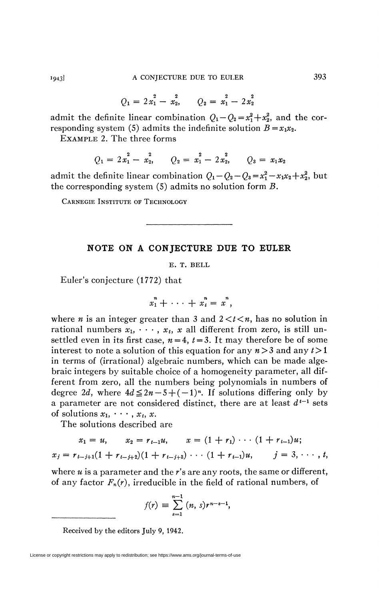$$
Q_1 = 2x_1^2 - x_2^2, \qquad Q_2 = x_1^2 - 2x_2^2
$$

admit the definite linear combination  $Q_1 - Q_2 = x_1^2 + x_2^2$ , and the corresponding system (5) admits the indefinite solution  $B = x_1 x_2$ .

EXAMPLE 2. The three forms

$$
Q_1 = 2x_1^2 - x_2^2, \qquad Q_2 = x_1^2 - 2x_2^2, \qquad Q_3 = x_1x_2
$$

admit the definite linear combination  $Q_1 - Q_2 - Q_3 = x_1^2 - x_1x_2 + x_2^2$ , but the corresponding system (5) admits no solution form *B.* 

CARNEGIE INSTITUTE OF TECHNOLOGY

## NOTE ON A CONJECTURE DUE TO EULER

E. T. BELL

Euler's conjecture (1772) that

$$
x_1^n + \cdots + x_t^n = x^n,
$$

where *n* is an integer greater than 3 and  $2 \lt t \lt n$ , has no solution in rational numbers  $x_1, \dots, x_t, x$  all different from zero, is still unsettled even in its first case,  $n = 4$ ,  $t = 3$ . It may therefore be of some interest to note a solution of this equation for any *n*>3 and any *t>* 1 in terms of (irrational) algebraic numbers, which can be made algebraic integers by suitable choice of a homogeneity parameter, all different from zero, all the numbers being polynomials in numbers of degree 2*d*, where  $4d \leq 2n - 5 + (-1)^n$ . If solutions differing only by a parameter are not considered distinct, there are at least  $d^{t-1}$  sets of solutions  $x_1, \cdots, x_t, x$ .

The solutions described are

$$
x_1 = u, \qquad x_2 = r_{t-1}u, \qquad x = (1 + r_1) \cdots (1 + r_{t-1})u;
$$
  

$$
x_j = r_{t-j+1}(1 + r_{t-j+2})(1 + r_{t-j+3}) \cdots (1 + r_{t-1})u, \qquad j = 3, \cdots, t,
$$

where *u* is a parameter and the *r's* are any roots, the same or different, of any factor *Fn(r),* irreducible in the field of rational numbers, of

$$
f(r) \equiv \sum_{s=1}^{n-1} (n, s) r^{n-s-1},
$$

Received by the editors July 9, 1942.

License or copyright restrictions may apply to redistribution; see https://www.ams.org/journal-terms-of-use